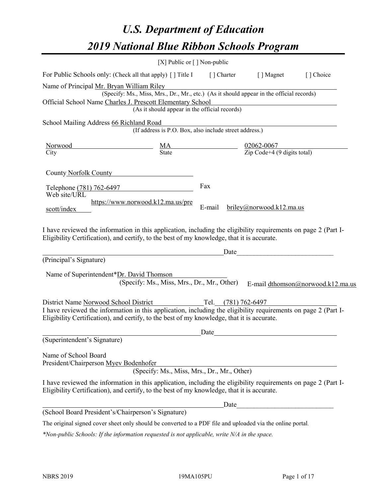# *U.S. Department of Education 2019 National Blue Ribbon Schools Program*

|                                                                                                                                                                                                              | [X] Public or $\lceil$ ] Non-public                                                      |                     |                          |                                   |
|--------------------------------------------------------------------------------------------------------------------------------------------------------------------------------------------------------------|------------------------------------------------------------------------------------------|---------------------|--------------------------|-----------------------------------|
| For Public Schools only: (Check all that apply) [] Title I                                                                                                                                                   |                                                                                          |                     | [] Charter [] Magnet     | [] Choice                         |
| Name of Principal Mr. Bryan William Riley                                                                                                                                                                    | (Specify: Ms., Miss, Mrs., Dr., Mr., etc.) (As it should appear in the official records) |                     |                          |                                   |
| Official School Name Charles J. Prescott Elementary School                                                                                                                                                   |                                                                                          |                     |                          |                                   |
|                                                                                                                                                                                                              | (As it should appear in the official records)                                            |                     |                          |                                   |
| School Mailing Address 66 Richland Road                                                                                                                                                                      |                                                                                          |                     |                          |                                   |
|                                                                                                                                                                                                              | (If address is P.O. Box, also include street address.)                                   |                     |                          |                                   |
| Norwood                                                                                                                                                                                                      | $\frac{02062-0067}{\text{Zip Code}+4 (9 digits total)}$<br>$\frac{MA}{State}$            |                     |                          |                                   |
| City                                                                                                                                                                                                         |                                                                                          |                     |                          |                                   |
| County Norfolk County                                                                                                                                                                                        |                                                                                          |                     |                          |                                   |
| Telephone (781) 762-6497                                                                                                                                                                                     |                                                                                          | Fax                 |                          |                                   |
| Web site/URL                                                                                                                                                                                                 |                                                                                          |                     |                          |                                   |
| scott/index                                                                                                                                                                                                  | https://www.norwood.k12.ma.us/pre                                                        | E-mail              | briley@norwood.k12.ma.us |                                   |
| Eligibility Certification), and certify, to the best of my knowledge, that it is accurate.<br>(Principal's Signature)                                                                                        |                                                                                          | Date                |                          |                                   |
| Name of Superintendent*Dr. David Thomson                                                                                                                                                                     |                                                                                          |                     |                          |                                   |
|                                                                                                                                                                                                              | (Specify: Ms., Miss, Mrs., Dr., Mr., Other)                                              |                     |                          | E-mail dthomson@norwood.k12.ma.us |
| District Name Norwood School District                                                                                                                                                                        |                                                                                          | Tel. (781) 762-6497 |                          |                                   |
| I have reviewed the information in this application, including the eligibility requirements on page 2 (Part I-<br>Eligibility Certification), and certify, to the best of my knowledge, that it is accurate. |                                                                                          |                     |                          |                                   |
|                                                                                                                                                                                                              |                                                                                          | Date                |                          |                                   |
| (Superintendent's Signature)                                                                                                                                                                                 |                                                                                          |                     |                          |                                   |
| Name of School Board<br>President/Chairperson Myev Bodenhofer                                                                                                                                                | (Specify: Ms., Miss, Mrs., Dr., Mr., Other)                                              |                     |                          |                                   |
| I have reviewed the information in this application, including the eligibility requirements on page 2 (Part I-<br>Eligibility Certification), and certify, to the best of my knowledge, that it is accurate. |                                                                                          |                     |                          |                                   |
|                                                                                                                                                                                                              |                                                                                          | Date                |                          |                                   |
| (School Board President's/Chairperson's Signature)                                                                                                                                                           |                                                                                          |                     |                          |                                   |
| The original signed cover sheet only should be converted to a PDF file and uploaded via the online portal.                                                                                                   |                                                                                          |                     |                          |                                   |

*\*Non-public Schools: If the information requested is not applicable, write N/A in the space.*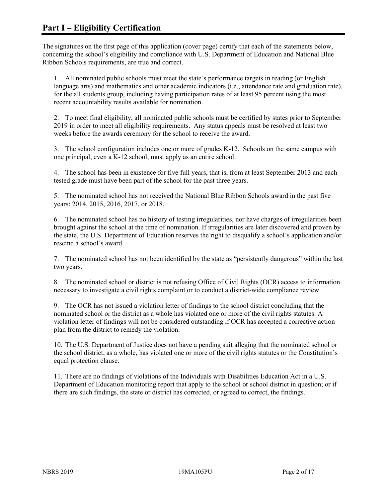The signatures on the first page of this application (cover page) certify that each of the statements below, concerning the school's eligibility and compliance with U.S. Department of Education and National Blue Ribbon Schools requirements, are true and correct.

1. All nominated public schools must meet the state's performance targets in reading (or English language arts) and mathematics and other academic indicators (i.e., attendance rate and graduation rate), for the all students group, including having participation rates of at least 95 percent using the most recent accountability results available for nomination.

2. To meet final eligibility, all nominated public schools must be certified by states prior to September 2019 in order to meet all eligibility requirements. Any status appeals must be resolved at least two weeks before the awards ceremony for the school to receive the award.

3. The school configuration includes one or more of grades K-12. Schools on the same campus with one principal, even a K-12 school, must apply as an entire school.

4. The school has been in existence for five full years, that is, from at least September 2013 and each tested grade must have been part of the school for the past three years.

5. The nominated school has not received the National Blue Ribbon Schools award in the past five years: 2014, 2015, 2016, 2017, or 2018.

6. The nominated school has no history of testing irregularities, nor have charges of irregularities been brought against the school at the time of nomination. If irregularities are later discovered and proven by the state, the U.S. Department of Education reserves the right to disqualify a school's application and/or rescind a school's award.

7. The nominated school has not been identified by the state as "persistently dangerous" within the last two years.

8. The nominated school or district is not refusing Office of Civil Rights (OCR) access to information necessary to investigate a civil rights complaint or to conduct a district-wide compliance review.

9. The OCR has not issued a violation letter of findings to the school district concluding that the nominated school or the district as a whole has violated one or more of the civil rights statutes. A violation letter of findings will not be considered outstanding if OCR has accepted a corrective action plan from the district to remedy the violation.

10. The U.S. Department of Justice does not have a pending suit alleging that the nominated school or the school district, as a whole, has violated one or more of the civil rights statutes or the Constitution's equal protection clause.

11. There are no findings of violations of the Individuals with Disabilities Education Act in a U.S. Department of Education monitoring report that apply to the school or school district in question; or if there are such findings, the state or district has corrected, or agreed to correct, the findings.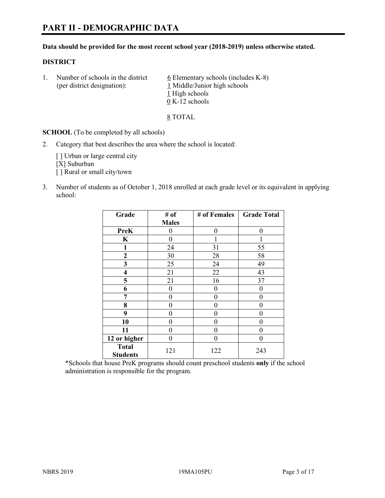#### **Data should be provided for the most recent school year (2018-2019) unless otherwise stated.**

#### **DISTRICT**

1. Number of schools in the district  $6$  Elementary schools (includes K-8) (per district designation): 1 Middle/Junior high schools 1 High schools 0 K-12 schools

8 TOTAL

**SCHOOL** (To be completed by all schools)

2. Category that best describes the area where the school is located:

[ ] Urban or large central city [X] Suburban [] Rural or small city/town

3. Number of students as of October 1, 2018 enrolled at each grade level or its equivalent in applying school:

| Grade                           | # of         | # of Females | <b>Grade Total</b> |
|---------------------------------|--------------|--------------|--------------------|
|                                 | <b>Males</b> |              |                    |
| <b>PreK</b>                     | 0            | 0            | 0                  |
| $\mathbf K$                     | 0            |              |                    |
| 1                               | 24           | 31           | 55                 |
| $\mathbf{2}$                    | 30           | 28           | 58                 |
| 3                               | 25           | 24           | 49                 |
| 4                               | 21           | 22           | 43                 |
| 5                               | 21           | 16           | 37                 |
| 6                               | 0            | 0            | 0                  |
| 7                               | 0            | $\theta$     | 0                  |
| 8                               | 0            | 0            | 0                  |
| 9                               | 0            | 0            | 0                  |
| 10                              | 0            | 0            | 0                  |
| 11                              | 0            | 0            | 0                  |
| 12 or higher                    | $\theta$     | $\theta$     | 0                  |
| <b>Total</b><br><b>Students</b> | 121          | 122          | 243                |

\*Schools that house PreK programs should count preschool students **only** if the school administration is responsible for the program.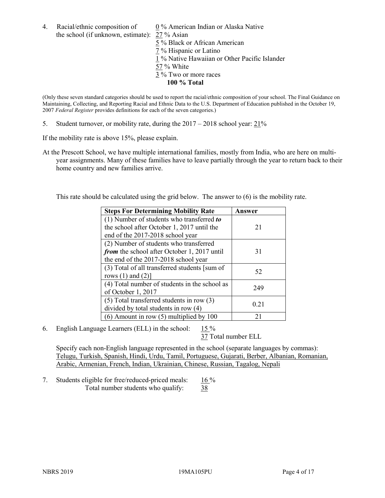4. Racial/ethnic composition of 0 % American Indian or Alaska Native the school (if unknown, estimate): 27 % Asian

 % Black or African American % Hispanic or Latino % Native Hawaiian or Other Pacific Islander 57 % White % Two or more races **100 % Total**

(Only these seven standard categories should be used to report the racial/ethnic composition of your school. The Final Guidance on Maintaining, Collecting, and Reporting Racial and Ethnic Data to the U.S. Department of Education published in the October 19, 2007 *Federal Register* provides definitions for each of the seven categories.)

5. Student turnover, or mobility rate, during the 2017 – 2018 school year: 21%

If the mobility rate is above 15%, please explain.

At the Prescott School, we have multiple international families, mostly from India, who are here on multiyear assignments. Many of these families have to leave partially through the year to return back to their home country and new families arrive.

This rate should be calculated using the grid below. The answer to (6) is the mobility rate.

| <b>Steps For Determining Mobility Rate</b>    | Answer |
|-----------------------------------------------|--------|
| (1) Number of students who transferred to     |        |
| the school after October 1, 2017 until the    | 21     |
| end of the 2017-2018 school year              |        |
| (2) Number of students who transferred        |        |
| from the school after October 1, 2017 until   | 31     |
| the end of the 2017-2018 school year          |        |
| (3) Total of all transferred students [sum of | 52     |
| rows $(1)$ and $(2)$ ]                        |        |
| (4) Total number of students in the school as | 249    |
| of October 1, 2017                            |        |
| $(5)$ Total transferred students in row $(3)$ |        |
| divided by total students in row $(4)$        | 0.21   |
| (6) Amount in row (5) multiplied by 100       | 21     |

6. English Language Learners (ELL) in the school: 15 %

37 Total number ELL

Specify each non-English language represented in the school (separate languages by commas): Telugu, Turkish, Spanish, Hindi, Urdu, Tamil, Portuguese, Gujarati, Berber, Albanian, Romanian, Arabic, Armenian, French, Indian, Ukrainian, Chinese, Russian, Tagalog, Nepali

7. Students eligible for free/reduced-priced meals:  $16\%$ Total number students who qualify: 38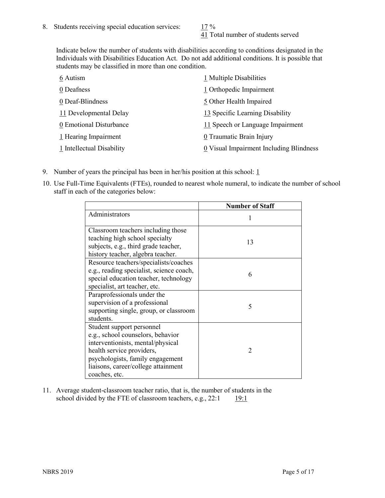41 Total number of students served

Indicate below the number of students with disabilities according to conditions designated in the Individuals with Disabilities Education Act. Do not add additional conditions. It is possible that students may be classified in more than one condition.

| 6 Autism                  | 1 Multiple Disabilities                 |
|---------------------------|-----------------------------------------|
| 0 Deafness                | 1 Orthopedic Impairment                 |
| 0 Deaf-Blindness          | 5 Other Health Impaired                 |
| 11 Developmental Delay    | 13 Specific Learning Disability         |
| 0 Emotional Disturbance   | 11 Speech or Language Impairment        |
| $1$ Hearing Impairment    | 0 Traumatic Brain Injury                |
| 1 Intellectual Disability | 0 Visual Impairment Including Blindness |

- 9. Number of years the principal has been in her/his position at this school:  $1$
- 10. Use Full-Time Equivalents (FTEs), rounded to nearest whole numeral, to indicate the number of school staff in each of the categories below:

|                                                                                                                                                                                                                              | <b>Number of Staff</b> |
|------------------------------------------------------------------------------------------------------------------------------------------------------------------------------------------------------------------------------|------------------------|
| Administrators                                                                                                                                                                                                               |                        |
| Classroom teachers including those<br>teaching high school specialty<br>subjects, e.g., third grade teacher,<br>history teacher, algebra teacher.                                                                            | 13                     |
| Resource teachers/specialists/coaches<br>e.g., reading specialist, science coach,<br>special education teacher, technology<br>specialist, art teacher, etc.                                                                  | 6                      |
| Paraprofessionals under the<br>supervision of a professional<br>supporting single, group, or classroom<br>students.                                                                                                          | 5                      |
| Student support personnel<br>e.g., school counselors, behavior<br>interventionists, mental/physical<br>health service providers,<br>psychologists, family engagement<br>liaisons, career/college attainment<br>coaches, etc. | $\mathcal{D}$          |

11. Average student-classroom teacher ratio, that is, the number of students in the school divided by the FTE of classroom teachers, e.g.,  $22:1$  19:1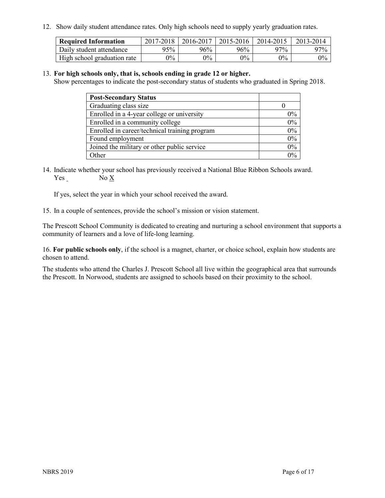12. Show daily student attendance rates. Only high schools need to supply yearly graduation rates.

| <b>Required Information</b> | 2017-2018 | 2016-2017 | 2015-2016 | 2014-2015 | 2013-2014 |
|-----------------------------|-----------|-----------|-----------|-----------|-----------|
| Daily student attendance    | 95%       | 96%       | 96%       | 97%       | $97\%$    |
| High school graduation rate | $0\%$     | $0\%$     | $0\%$     | $9\%$     | $0\%$     |

#### 13. **For high schools only, that is, schools ending in grade 12 or higher.**

Show percentages to indicate the post-secondary status of students who graduated in Spring 2018.

| <b>Post-Secondary Status</b>                  |          |
|-----------------------------------------------|----------|
| Graduating class size                         |          |
| Enrolled in a 4-year college or university    | $0\%$    |
| Enrolled in a community college               | 0%       |
| Enrolled in career/technical training program | 0%       |
| Found employment                              | 0%       |
| Joined the military or other public service   | 0%       |
| Other                                         | $\gamma$ |

14. Indicate whether your school has previously received a National Blue Ribbon Schools award. Yes No X

If yes, select the year in which your school received the award.

15. In a couple of sentences, provide the school's mission or vision statement.

The Prescott School Community is dedicated to creating and nurturing a school environment that supports a community of learners and a love of life-long learning.

16. **For public schools only**, if the school is a magnet, charter, or choice school, explain how students are chosen to attend.

The students who attend the Charles J. Prescott School all live within the geographical area that surrounds the Prescott. In Norwood, students are assigned to schools based on their proximity to the school.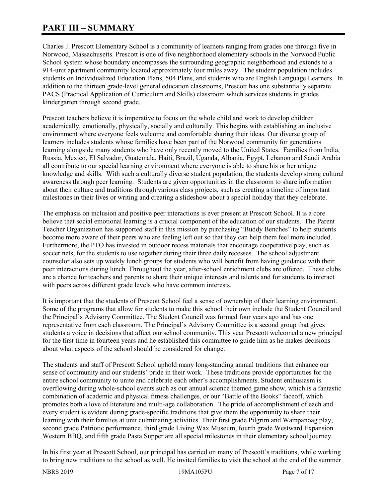# **PART III – SUMMARY**

Charles J. Prescott Elementary School is a community of learners ranging from grades one through five in Norwood, Massachusetts. Prescott is one of five neighborhood elementary schools in the Norwood Public School system whose boundary encompasses the surrounding geographic neighborhood and extends to a 914-unit apartment community located approximately four miles away. The student population includes students on Individualized Education Plans, 504 Plans, and students who are English Language Learners. In addition to the thirteen grade-level general education classrooms, Prescott has one substantially separate PACS (Practical Application of Curriculum and Skills) classroom which services students in grades kindergarten through second grade.

Prescott teachers believe it is imperative to focus on the whole child and work to develop children academically, emotionally, physically, socially and culturally. This begins with establishing an inclusive environment where everyone feels welcome and comfortable sharing their ideas. Our diverse group of learners includes students whose families have been part of the Norwood community for generations learning alongside many students who have only recently moved to the United States. Families from India, Russia, Mexico, El Salvador, Guatemala, Haiti, Brazil, Uganda, Albania, Egypt, Lebanon and Saudi Arabia all contribute to our special learning environment where everyone is able to share his or her unique knowledge and skills. With such a culturally diverse student population, the students develop strong cultural awareness through peer learning. Students are given opportunities in the classroom to share information about their culture and traditions through various class projects, such as creating a timeline of important milestones in their lives or writing and creating a slideshow about a special holiday that they celebrate.

The emphasis on inclusion and positive peer interactions is ever present at Prescott School. It is a core believe that social emotional learning is a crucial component of the education of our students. The Parent Teacher Organization has supported staff in this mission by purchasing "Buddy Benches" to help students become more aware of their peers who are feeling left out so that they can help them feel more included. Furthermore, the PTO has invested in outdoor recess materials that encourage cooperative play, such as soccer nets, for the students to use together during their three daily recesses. The school adjustment counselor also sets up weekly lunch groups for students who will benefit from having guidance with their peer interactions during lunch. Throughout the year, after-school enrichment clubs are offered. These clubs are a chance for teachers and parents to share their unique interests and talents and for students to interact with peers across different grade levels who have common interests.

It is important that the students of Prescott School feel a sense of ownership of their learning environment. Some of the programs that allow for students to make this school their own include the Student Council and the Principal's Advisory Committee. The Student Council was formed four years ago and has one representative from each classroom. The Principal's Advisory Committee is a second group that gives students a voice in decisions that affect our school community. This year Prescott welcomed a new principal for the first time in fourteen years and he established this committee to guide him as he makes decisions about what aspects of the school should be considered for change.

The students and staff of Prescott School uphold many long-standing annual traditions that enhance our sense of community and our students' pride in their work. These traditions provide opportunities for the entire school community to unite and celebrate each other's accomplishments. Student enthusiasm is overflowing during whole-school events such as our annual science themed game show, which is a fantastic combination of academic and physical fitness challenges, or our "Battle of the Books" faceoff, which promotes both a love of literature and multi-age collaboration. The pride of accomplishment of each and every student is evident during grade-specific traditions that give them the opportunity to share their learning with their families at unit culminating activities. Their first grade Pilgrim and Wampanoag play, second grade Patriotic performance, third grade Living Wax Museum, fourth grade Westward Expansion Western BBQ, and fifth grade Pasta Supper are all special milestones in their elementary school journey.

In his first year at Prescott School, our principal has carried on many of Prescott's traditions, while working to bring new traditions to the school as well. He invited families to visit the school at the end of the summer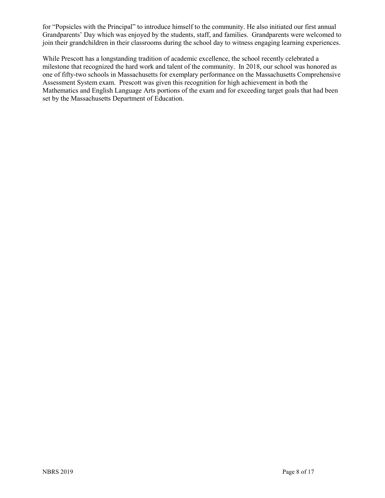for "Popsicles with the Principal" to introduce himself to the community. He also initiated our first annual Grandparents' Day which was enjoyed by the students, staff, and families. Grandparents were welcomed to join their grandchildren in their classrooms during the school day to witness engaging learning experiences.

While Prescott has a longstanding tradition of academic excellence, the school recently celebrated a milestone that recognized the hard work and talent of the community. In 2018, our school was honored as one of fifty-two schools in Massachusetts for exemplary performance on the Massachusetts Comprehensive Assessment System exam. Prescott was given this recognition for high achievement in both the Mathematics and English Language Arts portions of the exam and for exceeding target goals that had been set by the Massachusetts Department of Education.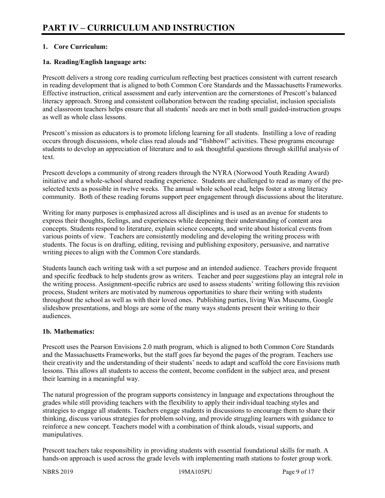# **1. Core Curriculum:**

## **1a. Reading/English language arts:**

Prescott delivers a strong core reading curriculum reflecting best practices consistent with current research in reading development that is aligned to both Common Core Standards and the Massachusetts Frameworks. Effective instruction, critical assessment and early intervention are the cornerstones of Prescott's balanced literacy approach. Strong and consistent collaboration between the reading specialist, inclusion specialists and classroom teachers helps ensure that all students' needs are met in both small guided-instruction groups as well as whole class lessons.

Prescott's mission as educators is to promote lifelong learning for all students. Instilling a love of reading occurs through discussions, whole class read alouds and "fishbowl" activities. These programs encourage students to develop an appreciation of literature and to ask thoughtful questions through skillful analysis of text.

Prescott develops a community of strong readers through the NYRA (Norwood Youth Reading Award) initiative and a whole-school shared reading experience. Students are challenged to read as many of the preselected texts as possible in twelve weeks. The annual whole school read, helps foster a strong literacy community. Both of these reading forums support peer engagement through discussions about the literature.

Writing for many purposes is emphasized across all disciplines and is used as an avenue for students to express their thoughts, feelings, and experiences while deepening their understanding of content area concepts. Students respond to literature, explain science concepts, and write about historical events from various points of view. Teachers are consistently modeling and developing the writing process with students. The focus is on drafting, editing, revising and publishing expository, persuasive, and narrative writing pieces to align with the Common Core standards.

Students launch each writing task with a set purpose and an intended audience. Teachers provide frequent and specific feedback to help students grow as writers. Teacher and peer suggestions play an integral role in the writing process. Assignment-specific rubrics are used to assess students' writing following this revision process, Student writers are motivated by numerous opportunities to share their writing with students throughout the school as well as with their loved ones. Publishing parties, living Wax Museums, Google slideshow presentations, and blogs are some of the many ways students present their writing to their audiences.

# **1b. Mathematics:**

Prescott uses the Pearson Envisions 2.0 math program, which is aligned to both Common Core Standards and the Massachusetts Frameworks, but the staff goes far beyond the pages of the program. Teachers use their creativity and the understanding of their students' needs to adapt and scaffold the core Envisions math lessons. This allows all students to access the content, become confident in the subject area, and present their learning in a meaningful way.

The natural progression of the program supports consistency in language and expectations throughout the grades while still providing teachers with the flexibility to apply their individual teaching styles and strategies to engage all students. Teachers engage students in discussions to encourage them to share their thinking, discuss various strategies for problem solving, and provide struggling learners with guidance to reinforce a new concept. Teachers model with a combination of think alouds, visual supports, and manipulatives.

Prescott teachers take responsibility in providing students with essential foundational skills for math. A hands-on approach is used across the grade levels with implementing math stations to foster group work.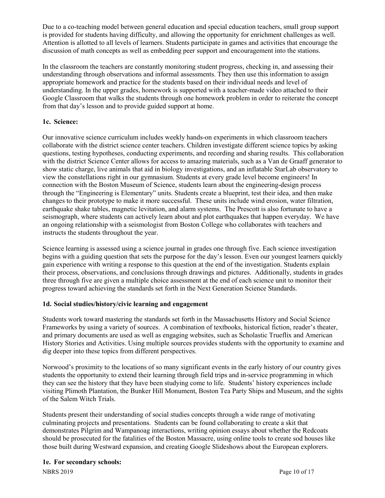Due to a co-teaching model between general education and special education teachers, small group support is provided for students having difficulty, and allowing the opportunity for enrichment challenges as well. Attention is allotted to all levels of learners. Students participate in games and activities that encourage the discussion of math concepts as well as embedding peer support and encouragement into the stations.

In the classroom the teachers are constantly monitoring student progress, checking in, and assessing their understanding through observations and informal assessments. They then use this information to assign appropriate homework and practice for the students based on their individual needs and level of understanding. In the upper grades, homework is supported with a teacher-made video attached to their Google Classroom that walks the students through one homework problem in order to reiterate the concept from that day's lesson and to provide guided support at home.

# **1c. Science:**

Our innovative science curriculum includes weekly hands-on experiments in which classroom teachers collaborate with the district science center teachers. Children investigate different science topics by asking questions, testing hypotheses, conducting experiments, and recording and sharing results. This collaboration with the district Science Center allows for access to amazing materials, such as a Van de Graaff generator to show static charge, live animals that aid in biology investigations, and an inflatable StarLab observatory to view the constellations right in our gymnasium. Students at every grade level become engineers! In connection with the Boston Museum of Science, students learn about the engineering-design process through the "Engineering is Elementary" units. Students create a blueprint, test their idea, and then make changes to their prototype to make it more successful. These units include wind erosion, water filtration, earthquake shake tables, magnetic levitation, and alarm systems. The Prescott is also fortunate to have a seismograph, where students can actively learn about and plot earthquakes that happen everyday. We have an ongoing relationship with a seismologist from Boston College who collaborates with teachers and instructs the students throughout the year.

Science learning is assessed using a science journal in grades one through five. Each science investigation begins with a guiding question that sets the purpose for the day's lesson. Even our youngest learners quickly gain experience with writing a response to this question at the end of the investigation. Students explain their process, observations, and conclusions through drawings and pictures. Additionally, students in grades three through five are given a multiple choice assessment at the end of each science unit to monitor their progress toward achieving the standards set forth in the Next Generation Science Standards.

# **1d. Social studies/history/civic learning and engagement**

Students work toward mastering the standards set forth in the Massachusetts History and Social Science Frameworks by using a variety of sources. A combination of textbooks, historical fiction, reader's theater, and primary documents are used as well as engaging websites, such as Scholastic Trueflix and American History Stories and Activities. Using multiple sources provides students with the opportunity to examine and dig deeper into these topics from different perspectives.

Norwood's proximity to the locations of so many significant events in the early history of our country gives students the opportunity to extend their learning through field trips and in-service programming in which they can see the history that they have been studying come to life. Students' history experiences include visiting Plimoth Plantation, the Bunker Hill Monument, Boston Tea Party Ships and Museum, and the sights of the Salem Witch Trials.

Students present their understanding of social studies concepts through a wide range of motivating culminating projects and presentations. Students can be found collaborating to create a skit that demonstrates Pilgrim and Wampanoag interactions, writing opinion essays about whether the Redcoats should be prosecuted for the fatalities of the Boston Massacre, using online tools to create sod houses like those built during Westward expansion, and creating Google Slideshows about the European explorers.

# **1e. For secondary schools:**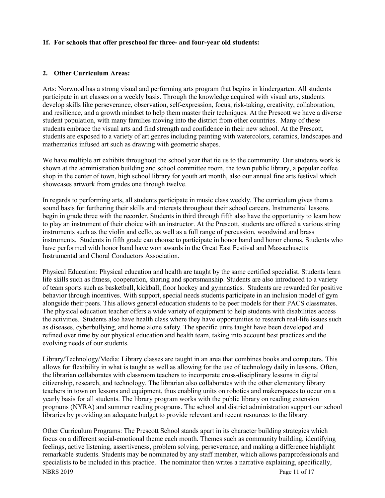#### **1f. For schools that offer preschool for three- and four-year old students:**

#### **2. Other Curriculum Areas:**

Arts: Norwood has a strong visual and performing arts program that begins in kindergarten. All students participate in art classes on a weekly basis. Through the knowledge acquired with visual arts, students develop skills like perseverance, observation, self-expression, focus, risk-taking, creativity, collaboration, and resilience, and a growth mindset to help them master their techniques. At the Prescott we have a diverse student population, with many families moving into the district from other countries. Many of these students embrace the visual arts and find strength and confidence in their new school. At the Prescott, students are exposed to a variety of art genres including painting with watercolors, ceramics, landscapes and mathematics infused art such as drawing with geometric shapes.

We have multiple art exhibits throughout the school year that tie us to the community. Our students work is shown at the administration building and school committee room, the town public library, a popular coffee shop in the center of town, high school library for youth art month, also our annual fine arts festival which showcases artwork from grades one through twelve.

In regards to performing arts, all students participate in music class weekly. The curriculum gives them a sound basis for furthering their skills and interests throughout their school careers. Instrumental lessons begin in grade three with the recorder. Students in third through fifth also have the opportunity to learn how to play an instrument of their choice with an instructor. At the Prescott, students are offered a various string instruments such as the violin and cello, as well as a full range of percussion, woodwind and brass instruments. Students in fifth grade can choose to participate in honor band and honor chorus. Students who have performed with honor band have won awards in the Great East Festival and Massachusetts Instrumental and Choral Conductors Association.

Physical Education: Physical education and health are taught by the same certified specialist. Students learn life skills such as fitness, cooperation, sharing and sportsmanship. Students are also introduced to a variety of team sports such as basketball, kickball, floor hockey and gymnastics. Students are rewarded for positive behavior through incentives. With support, special needs students participate in an inclusion model of gym alongside their peers. This allows general education students to be peer models for their PACS classmates. The physical education teacher offers a wide variety of equipment to help students with disabilities access the activities. Students also have health class where they have opportunities to research real-life issues such as diseases, cyberbullying, and home alone safety. The specific units taught have been developed and refined over time by our physical education and health team, taking into account best practices and the evolving needs of our students.

Library/Technology/Media: Library classes are taught in an area that combines books and computers. This allows for flexibility in what is taught as well as allowing for the use of technology daily in lessons. Often, the librarian collaborates with classroom teachers to incorporate cross-disciplinary lessons in digital citizenship, research, and technology. The librarian also collaborates with the other elementary library teachers in town on lessons and equipment, thus enabling units on robotics and makerspaces to occur on a yearly basis for all students. The library program works with the public library on reading extension programs (NYRA) and summer reading programs. The school and district administration support our school libraries by providing an adequate budget to provide relevant and recent resources to the library.

NBRS 2019 Page 11 of 17 Other Curriculum Programs: The Prescott School stands apart in its character building strategies which focus on a different social-emotional theme each month. Themes such as community building, identifying feelings, active listening, assertiveness, problem solving, perseverance, and making a difference highlight remarkable students. Students may be nominated by any staff member, which allows paraprofessionals and specialists to be included in this practice. The nominator then writes a narrative explaining, specifically,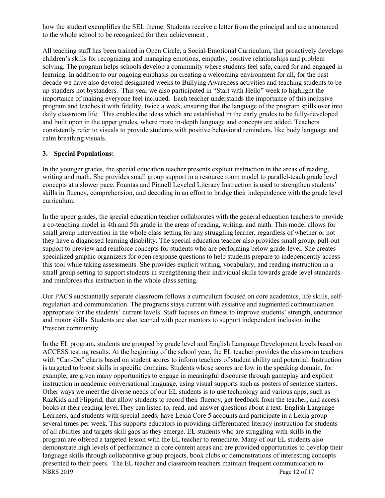how the student exemplifies the SEL theme. Students receive a letter from the principal and are announced to the whole school to be recognized for their achievement .

All teaching staff has been trained in Open Circle, a Social-Emotional Curriculum, that proactively develops children's skills for recognizing and managing emotions, empathy, positive relationships and problem solving. The program helps schools develop a community where students feel safe, cared for and engaged in learning. In addition to our ongoing emphasis on creating a welcoming environment for all, for the past decade we have also devoted designated weeks to Bullying Awareness activities and teaching students to be up-standers not bystanders. This year we also participated in "Start with Hello" week to highlight the importance of making everyone feel included. Each teacher understands the importance of this inclusive program and teaches it with fidelity, twice a week, ensuring that the language of the program spills over into daily classroom life. This enables the ideas which are established in the early grades to be fully-developed and built upon in the upper grades, where more in-depth language and concepts are added. Teachers consistently refer to visuals to provide students with positive behavioral reminders, like body language and calm breathing visuals.

#### **3. Special Populations:**

In the younger grades, the special education teacher presents explicit instruction in the areas of reading, writing and math. She provides small group support in a resource room model to parallel-teach grade level concepts at a slower pace. Fountas and Pinnell Leveled Literacy Instruction is used to strengthen students' skills in fluency, comprehension, and decoding in an effort to bridge their independence with the grade level curriculum.

In the upper grades, the special education teacher collaborates with the general education teachers to provide a co-teaching model in 4th and 5th grade in the areas of reading, writing, and math. This model allows for small group intervention in the whole class setting for any struggling learner, regardless of whether or not they have a diagnosed learning disability. The special education teacher also provides small group, pull-out support to preview and reinforce concepts for students who are performing below grade-level. She creates specialized graphic organizers for open response questions to help students prepare to independently access this tool while taking assessments. She provides explicit writing, vocabulary, and reading instruction in a small group setting to support students in strengthening their individual skills towards grade level standards and reinforces this instruction in the whole class setting.

Our PACS substantially separate classroom follows a curriculum focused on core academics, life skills, selfregulation and communication. The programs stays current with assistive and augmented communication appropriate for the students' current levels. Staff focuses on fitness to improve students' strength, endurance and motor skills. Students are also teamed with peer mentors to support independent inclusion in the Prescott community.

NBRS 2019 Page 12 of 17 In the EL program, students are grouped by grade level and English Language Development levels based on ACCESS testing results. At the beginning of the school year, the EL teacher provides the classroom teachers with "Can-Do" charts based on student scores to inform teachers of student ability and potential. Instruction is targeted to boost skills in specific domains. Students whose scores are low in the speaking domain, for example, are given many opportunities to engage in meaningful discourse through gameplay and explicit instruction in academic conversational language, using visual supports such as posters of sentence starters. Other ways we meet the diverse needs of our EL students is to use technology and various apps, such as RazKids and Flipgrid, that allow students to record their fluency, get feedback from the teacher, and access books at their reading level.They can listen to, read, and answer questions about a text. English Language Learners, and students with special needs, have Lexia Core 5 accounts and participate in a Lexia group several times per week. This supports educators in providing differentiated literacy instruction for students of all abilities and targets skill gaps as they emerge. EL students who are struggling with skills in the program are offered a targeted lesson with the EL teacher to remediate. Many of our EL students also demonstrate high levels of performance in core content areas and are provided opportunities to develop their language skills through collaborative group projects, book clubs or demonstrations of interesting concepts presented to their peers. The EL teacher and classroom teachers maintain frequent communication to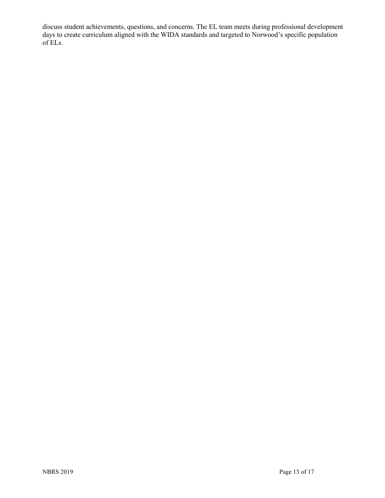discuss student achievements, questions, and concerns. The EL team meets during professional development days to create curriculum aligned with the WIDA standards and targeted to Norwood's specific population of ELs.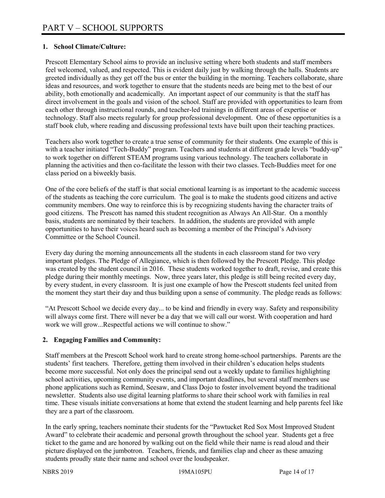### **1. School Climate/Culture:**

Prescott Elementary School aims to provide an inclusive setting where both students and staff members feel welcomed, valued, and respected. This is evident daily just by walking through the halls. Students are greeted individually as they get off the bus or enter the building in the morning. Teachers collaborate, share ideas and resources, and work together to ensure that the students needs are being met to the best of our ability, both emotionally and academically. An important aspect of our community is that the staff has direct involvement in the goals and vision of the school. Staff are provided with opportunities to learn from each other through instructional rounds, and teacher-led trainings in different areas of expertise or technology. Staff also meets regularly for group professional development. One of these opportunities is a staff book club, where reading and discussing professional texts have built upon their teaching practices.

Teachers also work together to create a true sense of community for their students. One example of this is with a teacher initiated "Tech-Buddy" program. Teachers and students at different grade levels "buddy-up" to work together on different STEAM programs using various technology. The teachers collaborate in planning the activities and then co-facilitate the lesson with their two classes. Tech-Buddies meet for one class period on a biweekly basis.

One of the core beliefs of the staff is that social emotional learning is as important to the academic success of the students as teaching the core curriculum. The goal is to make the students good citizens and active community members. One way to reinforce this is by recognizing students having the character traits of good citizens. The Prescott has named this student recognition as Always An All-Star. On a monthly basis, students are nominated by their teachers. In addition, the students are provided with ample opportunities to have their voices heard such as becoming a member of the Principal's Advisory Committee or the School Council.

Every day during the morning announcements all the students in each classroom stand for two very important pledges. The Pledge of Allegiance, which is then followed by the Prescott Pledge. This pledge was created by the student council in 2016. These students worked together to draft, revise, and create this pledge during their monthly meetings. Now, three years later, this pledge is still being recited every day, by every student, in every classroom. It is just one example of how the Prescott students feel united from the moment they start their day and thus building upon a sense of community. The pledge reads as follows:

"At Prescott School we decide every day... to be kind and friendly in every way. Safety and responsibility will always come first. There will never be a day that we will call our worst. With cooperation and hard work we will grow...Respectful actions we will continue to show."

# **2. Engaging Families and Community:**

Staff members at the Prescott School work hard to create strong home-school partnerships. Parents are the students' first teachers. Therefore, getting them involved in their children's education helps students become more successful. Not only does the principal send out a weekly update to families highlighting school activities, upcoming community events, and important deadlines, but several staff members use phone applications such as Remind, Seesaw, and Class Dojo to foster involvement beyond the traditional newsletter. Students also use digital learning platforms to share their school work with families in real time. These visuals initiate conversations at home that extend the student learning and help parents feel like they are a part of the classroom.

In the early spring, teachers nominate their students for the "Pawtucket Red Sox Most Improved Student Award" to celebrate their academic and personal growth throughout the school year. Students get a free ticket to the game and are honored by walking out on the field while their name is read aloud and their picture displayed on the jumbotron. Teachers, friends, and families clap and cheer as these amazing students proudly state their name and school over the loudspeaker.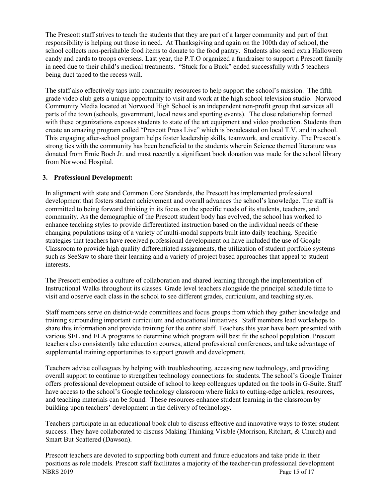The Prescott staff strives to teach the students that they are part of a larger community and part of that responsibility is helping out those in need. At Thanksgiving and again on the 100th day of school, the school collects non-perishable food items to donate to the food pantry. Students also send extra Halloween candy and cards to troops overseas. Last year, the P.T.O organized a fundraiser to support a Prescott family in need due to their child's medical treatments. "Stuck for a Buck" ended successfully with 5 teachers being duct taped to the recess wall.

The staff also effectively taps into community resources to help support the school's mission. The fifth grade video club gets a unique opportunity to visit and work at the high school television studio. Norwood Community Media located at Norwood High School is an independent non-profit group that services all parts of the town (schools, government, local news and sporting events). The close relationship formed with these organizations exposes students to state of the art equipment and video production. Students then create an amazing program called "Prescott Press Live" which is broadcasted on local T.V. and in school. This engaging after-school program helps foster leadership skills, teamwork, and creativity. The Prescott's strong ties with the community has been beneficial to the students wherein Science themed literature was donated from Ernie Boch Jr. and most recently a significant book donation was made for the school library from Norwood Hospital.

#### **3. Professional Development:**

In alignment with state and Common Core Standards, the Prescott has implemented professional development that fosters student achievement and overall advances the school's knowledge. The staff is committed to being forward thinking in its focus on the specific needs of its students, teachers, and community. As the demographic of the Prescott student body has evolved, the school has worked to enhance teaching styles to provide differentiated instruction based on the individual needs of these changing populations using of a variety of multi-modal supports built into daily teaching. Specific strategies that teachers have received professional development on have included the use of Google Classroom to provide high quality differentiated assignments, the utilization of student portfolio systems such as SeeSaw to share their learning and a variety of project based approaches that appeal to student interests.

The Prescott embodies a culture of collaboration and shared learning through the implementation of Instructional Walks throughout its classes. Grade level teachers alongside the principal schedule time to visit and observe each class in the school to see different grades, curriculum, and teaching styles.

Staff members serve on district-wide committees and focus groups from which they gather knowledge and training surrounding important curriculum and educational initiatives. Staff members lead workshops to share this information and provide training for the entire staff. Teachers this year have been presented with various SEL and ELA programs to determine which program will best fit the school population. Prescott teachers also consistently take education courses, attend professional conferences, and take advantage of supplemental training opportunities to support growth and development.

Teachers advise colleagues by helping with troubleshooting, accessing new technology, and providing overall support to continue to strengthen technology connections for students. The school's Google Trainer offers professional development outside of school to keep colleagues updated on the tools in G-Suite. Staff have access to the school's Google technology classroom where links to cutting-edge articles, resources, and teaching materials can be found. These resources enhance student learning in the classroom by building upon teachers' development in the delivery of technology.

Teachers participate in an educational book club to discuss effective and innovative ways to foster student success. They have collaborated to discuss Making Thinking Visible (Morrison, Ritchart, & Church) and Smart But Scattered (Dawson).

NBRS 2019 Page 15 of 17 Prescott teachers are devoted to supporting both current and future educators and take pride in their positions as role models. Prescott staff facilitates a majority of the teacher-run professional development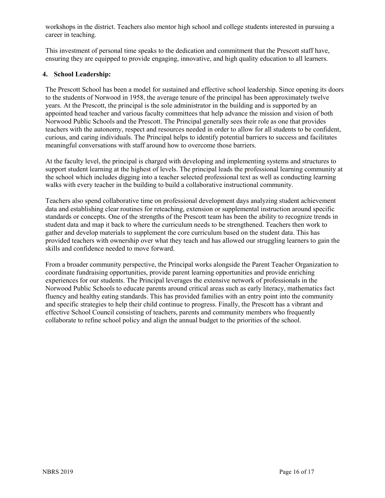workshops in the district. Teachers also mentor high school and college students interested in pursuing a career in teaching.

This investment of personal time speaks to the dedication and commitment that the Prescott staff have, ensuring they are equipped to provide engaging, innovative, and high quality education to all learners.

#### **4. School Leadership:**

The Prescott School has been a model for sustained and effective school leadership. Since opening its doors to the students of Norwood in 1958, the average tenure of the principal has been approximately twelve years. At the Prescott, the principal is the sole administrator in the building and is supported by an appointed head teacher and various faculty committees that help advance the mission and vision of both Norwood Public Schools and the Prescott. The Principal generally sees their role as one that provides teachers with the autonomy, respect and resources needed in order to allow for all students to be confident, curious, and caring individuals. The Principal helps to identify potential barriers to success and facilitates meaningful conversations with staff around how to overcome those barriers.

At the faculty level, the principal is charged with developing and implementing systems and structures to support student learning at the highest of levels. The principal leads the professional learning community at the school which includes digging into a teacher selected professional text as well as conducting learning walks with every teacher in the building to build a collaborative instructional community.

Teachers also spend collaborative time on professional development days analyzing student achievement data and establishing clear routines for reteaching, extension or supplemental instruction around specific standards or concepts. One of the strengths of the Prescott team has been the ability to recognize trends in student data and map it back to where the curriculum needs to be strengthened. Teachers then work to gather and develop materials to supplement the core curriculum based on the student data. This has provided teachers with ownership over what they teach and has allowed our struggling learners to gain the skills and confidence needed to move forward.

From a broader community perspective, the Principal works alongside the Parent Teacher Organization to coordinate fundraising opportunities, provide parent learning opportunities and provide enriching experiences for our students. The Principal leverages the extensive network of professionals in the Norwood Public Schools to educate parents around critical areas such as early literacy, mathematics fact fluency and healthy eating standards. This has provided families with an entry point into the community and specific strategies to help their child continue to progress. Finally, the Prescott has a vibrant and effective School Council consisting of teachers, parents and community members who frequently collaborate to refine school policy and align the annual budget to the priorities of the school.